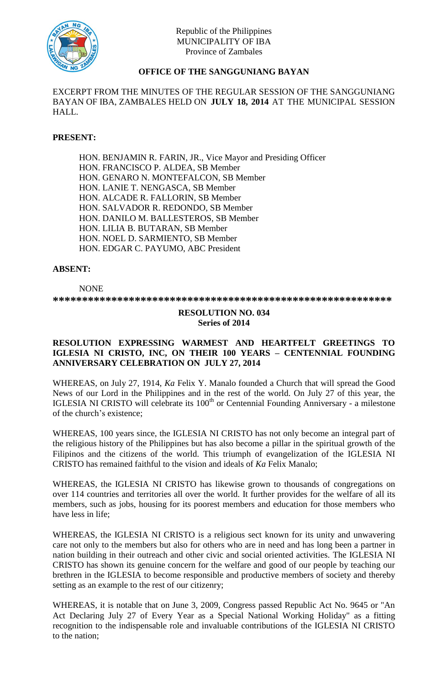

# **OFFICE OF THE SANGGUNIANG BAYAN**

EXCERPT FROM THE MINUTES OF THE REGULAR SESSION OF THE SANGGUNIANG BAYAN OF IBA, ZAMBALES HELD ON **JULY 18, 2014** AT THE MUNICIPAL SESSION HALL.

# **PRESENT:**

HON. BENJAMIN R. FARIN, JR., Vice Mayor and Presiding Officer HON. FRANCISCO P. ALDEA, SB Member HON. GENARO N. MONTEFALCON, SB Member HON. LANIE T. NENGASCA, SB Member HON. ALCADE R. FALLORIN, SB Member HON. SALVADOR R. REDONDO, SB Member HON. DANILO M. BALLESTEROS, SB Member HON. LILIA B. BUTARAN, SB Member HON. NOEL D. SARMIENTO, SB Member HON. EDGAR C. PAYUMO, ABC President

# **ABSENT:**

NONE **\*\*\*\*\*\*\*\*\*\*\*\*\*\*\*\*\*\*\*\*\*\*\*\*\*\*\*\*\*\*\*\*\*\*\*\*\*\*\*\*\*\*\*\*\*\*\*\*\*\*\*\*\*\*\*\*\*\***

### **RESOLUTION NO. 034 Series of 2014**

# **RESOLUTION EXPRESSING WARMEST AND HEARTFELT GREETINGS TO IGLESIA NI CRISTO, INC, ON THEIR 100 YEARS – CENTENNIAL FOUNDING ANNIVERSARY CELEBRATION ON JULY 27, 2014**

WHEREAS, on July 27, 1914, *Ka* Felix Y. Manalo founded a Church that will spread the Good News of our Lord in the Philippines and in the rest of the world. On July 27 of this year, the IGLESIA NI CRISTO will celebrate its 100<sup>th</sup> or Centennial Founding Anniversary - a milestone of the church's existence;

WHEREAS, 100 years since, the IGLESIA NI CRISTO has not only become an integral part of the religious history of the Philippines but has also become a pillar in the spiritual growth of the Filipinos and the citizens of the world. This triumph of evangelization of the IGLESIA NI CRISTO has remained faithful to the vision and ideals of *Ka* Felix Manalo;

WHEREAS, the IGLESIA NI CRISTO has likewise grown to thousands of congregations on over 114 countries and territories all over the world. It further provides for the welfare of all its members, such as jobs, housing for its poorest members and education for those members who have less in life;

WHEREAS, the IGLESIA NI CRISTO is a religious sect known for its unity and unwavering care not only to the members but also for others who are in need and has long been a partner in nation building in their outreach and other civic and social oriented activities. The IGLESIA NI CRISTO has shown its genuine concern for the welfare and good of our people by teaching our brethren in the IGLESIA to become responsible and productive members of society and thereby setting as an example to the rest of our citizenry;

WHEREAS, it is notable that on June 3, 2009, Congress passed Republic Act No. 9645 or "An Act Declaring July 27 of Every Year as a Special National Working Holiday" as a fitting recognition to the indispensable role and invaluable contributions of the IGLESIA NI CRISTO to the nation;